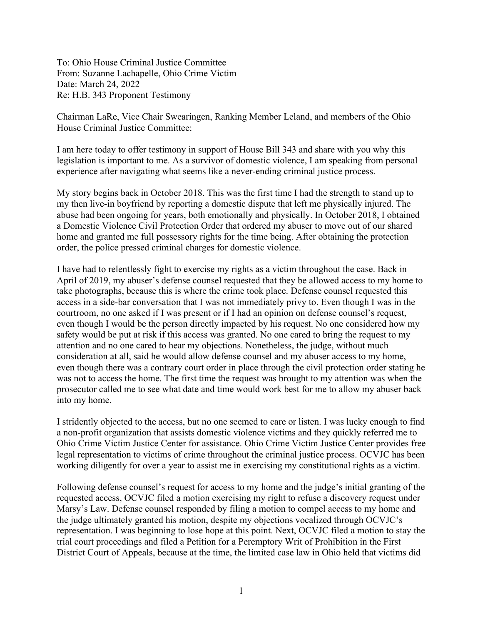To: Ohio House Criminal Justice Committee From: Suzanne Lachapelle, Ohio Crime Victim Date: March 24, 2022 Re: H.B. 343 Proponent Testimony

Chairman LaRe, Vice Chair Swearingen, Ranking Member Leland, and members of the Ohio House Criminal Justice Committee:

I am here today to offer testimony in support of House Bill 343 and share with you why this legislation is important to me. As a survivor of domestic violence, I am speaking from personal experience after navigating what seems like a never-ending criminal justice process.

My story begins back in October 2018. This was the first time I had the strength to stand up to my then live-in boyfriend by reporting a domestic dispute that left me physically injured. The abuse had been ongoing for years, both emotionally and physically. In October 2018, I obtained a Domestic Violence Civil Protection Order that ordered my abuser to move out of our shared home and granted me full possessory rights for the time being. After obtaining the protection order, the police pressed criminal charges for domestic violence.

I have had to relentlessly fight to exercise my rights as a victim throughout the case. Back in April of 2019, my abuser's defense counsel requested that they be allowed access to my home to take photographs, because this is where the crime took place. Defense counsel requested this access in a side-bar conversation that I was not immediately privy to. Even though I was in the courtroom, no one asked if I was present or if I had an opinion on defense counsel's request, even though I would be the person directly impacted by his request. No one considered how my safety would be put at risk if this access was granted. No one cared to bring the request to my attention and no one cared to hear my objections. Nonetheless, the judge, without much consideration at all, said he would allow defense counsel and my abuser access to my home, even though there was a contrary court order in place through the civil protection order stating he was not to access the home. The first time the request was brought to my attention was when the prosecutor called me to see what date and time would work best for me to allow my abuser back into my home.

I stridently objected to the access, but no one seemed to care or listen. I was lucky enough to find a non-profit organization that assists domestic violence victims and they quickly referred me to Ohio Crime Victim Justice Center for assistance. Ohio Crime Victim Justice Center provides free legal representation to victims of crime throughout the criminal justice process. OCVJC has been working diligently for over a year to assist me in exercising my constitutional rights as a victim.

Following defense counsel's request for access to my home and the judge's initial granting of the requested access, OCVJC filed a motion exercising my right to refuse a discovery request under Marsy's Law. Defense counsel responded by filing a motion to compel access to my home and the judge ultimately granted his motion, despite my objections vocalized through OCVJC's representation. I was beginning to lose hope at this point. Next, OCVJC filed a motion to stay the trial court proceedings and filed a Petition for a Peremptory Writ of Prohibition in the First District Court of Appeals, because at the time, the limited case law in Ohio held that victims did